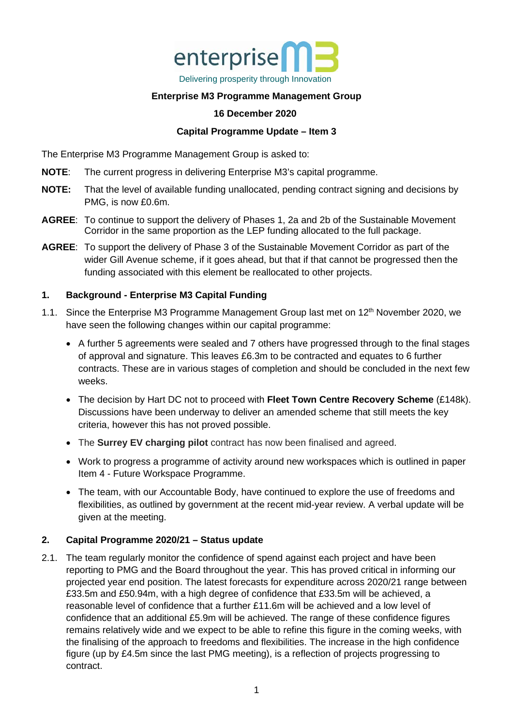

# **Enterprise M3 Programme Management Group**

#### **16 December 2020**

#### **Capital Programme Update – Item 3**

The Enterprise M3 Programme Management Group is asked to:

- **NOTE**: The current progress in delivering Enterprise M3's capital programme.
- **NOTE:** That the level of available funding unallocated, pending contract signing and decisions by PMG, is now £0.6m.
- **AGREE**: To continue to support the delivery of Phases 1, 2a and 2b of the Sustainable Movement Corridor in the same proportion as the LEP funding allocated to the full package.
- **AGREE**: To support the delivery of Phase 3 of the Sustainable Movement Corridor as part of the wider Gill Avenue scheme, if it goes ahead, but that if that cannot be progressed then the funding associated with this element be reallocated to other projects.

### **1. Background - Enterprise M3 Capital Funding**

- 1.1. Since the Enterprise M3 Programme Management Group last met on 12<sup>th</sup> November 2020, we have seen the following changes within our capital programme:
	- A further 5 agreements were sealed and 7 others have progressed through to the final stages of approval and signature. This leaves £6.3m to be contracted and equates to 6 further contracts. These are in various stages of completion and should be concluded in the next few weeks.
	- The decision by Hart DC not to proceed with **Fleet Town Centre Recovery Scheme** (£148k). Discussions have been underway to deliver an amended scheme that still meets the key criteria, however this has not proved possible.
	- The **Surrey EV charging pilot** contract has now been finalised and agreed.
	- Work to progress a programme of activity around new workspaces which is outlined in paper Item 4 - Future Workspace Programme.
	- The team, with our Accountable Body, have continued to explore the use of freedoms and flexibilities, as outlined by government at the recent mid-year review. A verbal update will be given at the meeting.

### **2. Capital Programme 2020/21 – Status update**

2.1. The team regularly monitor the confidence of spend against each project and have been reporting to PMG and the Board throughout the year. This has proved critical in informing our projected year end position. The latest forecasts for expenditure across 2020/21 range between £33.5m and £50.94m, with a high degree of confidence that £33.5m will be achieved, a reasonable level of confidence that a further £11.6m will be achieved and a low level of confidence that an additional £5.9m will be achieved. The range of these confidence figures remains relatively wide and we expect to be able to refine this figure in the coming weeks, with the finalising of the approach to freedoms and flexibilities. The increase in the high confidence figure (up by £4.5m since the last PMG meeting), is a reflection of projects progressing to contract.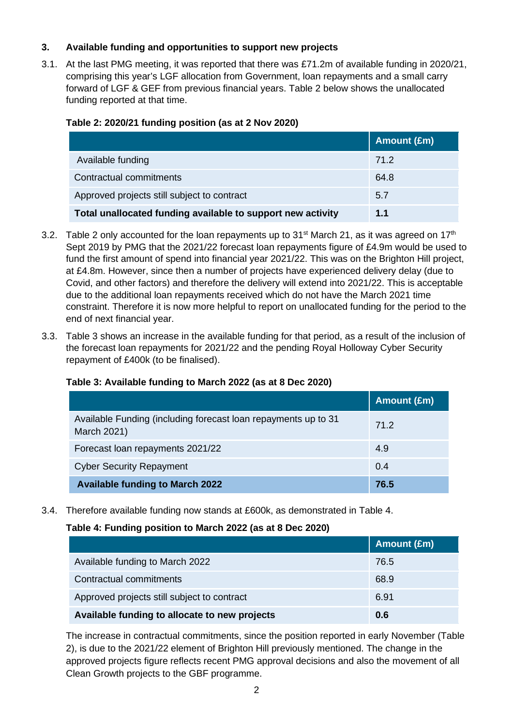### **3. Available funding and opportunities to support new projects**

3.1. At the last PMG meeting, it was reported that there was £71.2m of available funding in 2020/21, comprising this year's LGF allocation from Government, loan repayments and a small carry forward of LGF & GEF from previous financial years. Table 2 below shows the unallocated funding reported at that time.

### **Table 2: 2020/21 funding position (as at 2 Nov 2020)**

|                                                             | Amount (£m) |
|-------------------------------------------------------------|-------------|
| Available funding                                           | 71.2        |
| Contractual commitments                                     | 64.8        |
| Approved projects still subject to contract                 | 5.7         |
| Total unallocated funding available to support new activity | 1.1         |

- 3.2. Table 2 only accounted for the loan repayments up to  $31<sup>st</sup>$  March 21, as it was agreed on  $17<sup>th</sup>$ Sept 2019 by PMG that the 2021/22 forecast loan repayments figure of £4.9m would be used to fund the first amount of spend into financial year 2021/22. This was on the Brighton Hill project, at £4.8m. However, since then a number of projects have experienced delivery delay (due to Covid, and other factors) and therefore the delivery will extend into 2021/22. This is acceptable due to the additional loan repayments received which do not have the March 2021 time constraint. Therefore it is now more helpful to report on unallocated funding for the period to the end of next financial year.
- 3.3. Table 3 shows an increase in the available funding for that period, as a result of the inclusion of the forecast loan repayments for 2021/22 and the pending Royal Holloway Cyber Security repayment of £400k (to be finalised).

### **Table 3: Available funding to March 2022 (as at 8 Dec 2020)**

|                                                                               | Amount (£m) |
|-------------------------------------------------------------------------------|-------------|
| Available Funding (including forecast loan repayments up to 31<br>March 2021) | 71.2        |
| Forecast loan repayments 2021/22                                              | 4.9         |
| <b>Cyber Security Repayment</b>                                               | 0.4         |
| <b>Available funding to March 2022</b>                                        | 76.5        |

3.4. Therefore available funding now stands at £600k, as demonstrated in Table 4.

### **Table 4: Funding position to March 2022 (as at 8 Dec 2020)**

|                                               | Amount (£m) |
|-----------------------------------------------|-------------|
| Available funding to March 2022               | 76.5        |
| Contractual commitments                       | 68.9        |
| Approved projects still subject to contract   | 6.91        |
| Available funding to allocate to new projects | 0.6         |

The increase in contractual commitments, since the position reported in early November (Table 2), is due to the 2021/22 element of Brighton Hill previously mentioned. The change in the approved projects figure reflects recent PMG approval decisions and also the movement of all Clean Growth projects to the GBF programme.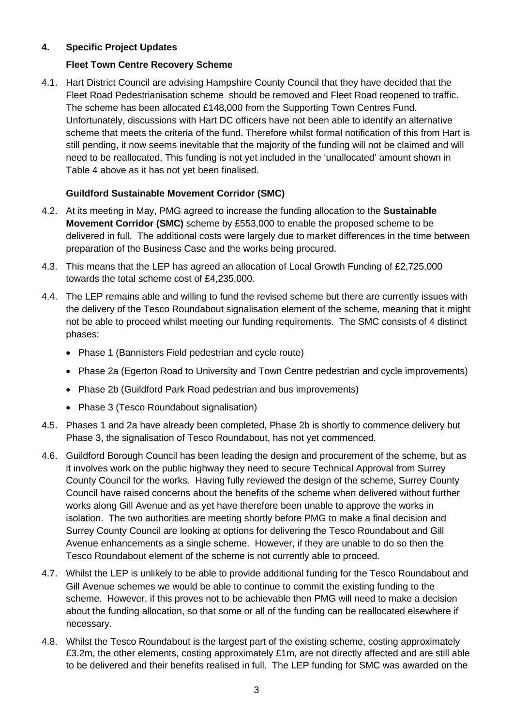### **4. Specific Project Updates**

# **Fleet Town Centre Recovery Scheme**

4.1. Hart District Council are advising Hampshire County Council that they have decided that the Fleet Road Pedestrianisation scheme should be removed and Fleet Road reopened to traffic. The scheme has been allocated £148,000 from the Supporting Town Centres Fund. Unfortunately, discussions with Hart DC officers have not been able to identify an alternative scheme that meets the criteria of the fund. Therefore whilst formal notification of this from Hart is still pending, it now seems inevitable that the majority of the funding will not be claimed and will need to be reallocated. This funding is not yet included in the 'unallocated' amount shown in Table 4 above as it has not yet been finalised.

# **Guildford Sustainable Movement Corridor (SMC)**

- 4.2. At its meeting in May, PMG agreed to increase the funding allocation to the **Sustainable Movement Corridor (SMC)** scheme by £553,000 to enable the proposed scheme to be delivered in full. The additional costs were largely due to market differences in the time between preparation of the Business Case and the works being procured.
- 4.3. This means that the LEP has agreed an allocation of Local Growth Funding of £2,725,000 towards the total scheme cost of £4,235,000.
- 4.4. The LEP remains able and willing to fund the revised scheme but there are currently issues with the delivery of the Tesco Roundabout signalisation element of the scheme, meaning that it might not be able to proceed whilst meeting our funding requirements. The SMC consists of 4 distinct phases:
	- Phase 1 (Bannisters Field pedestrian and cycle route)
	- Phase 2a (Egerton Road to University and Town Centre pedestrian and cycle improvements)
	- Phase 2b (Guildford Park Road pedestrian and bus improvements)
	- Phase 3 (Tesco Roundabout signalisation)
- 4.5. Phases 1 and 2a have already been completed, Phase 2b is shortly to commence delivery but Phase 3, the signalisation of Tesco Roundabout, has not yet commenced.
- 4.6. Guildford Borough Council has been leading the design and procurement of the scheme, but as it involves work on the public highway they need to secure Technical Approval from Surrey County Council for the works. Having fully reviewed the design of the scheme, Surrey County Council have raised concerns about the benefits of the scheme when delivered without further works along Gill Avenue and as yet have therefore been unable to approve the works in isolation. The two authorities are meeting shortly before PMG to make a final decision and Surrey County Council are looking at options for delivering the Tesco Roundabout and Gill Avenue enhancements as a single scheme. However, if they are unable to do so then the Tesco Roundabout element of the scheme is not currently able to proceed.
- 4.7. Whilst the LEP is unlikely to be able to provide additional funding for the Tesco Roundabout and Gill Avenue schemes we would be able to continue to commit the existing funding to the scheme. However, if this proves not to be achievable then PMG will need to make a decision about the funding allocation, so that some or all of the funding can be reallocated elsewhere if necessary.
- 4.8. Whilst the Tesco Roundabout is the largest part of the existing scheme, costing approximately £3.2m, the other elements, costing approximately £1m, are not directly affected and are still able to be delivered and their benefits realised in full. The LEP funding for SMC was awarded on the